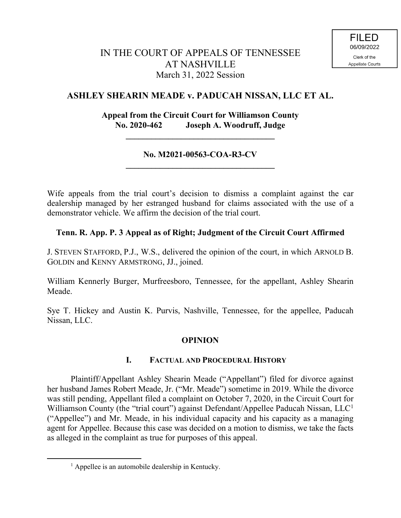# **ASHLEY SHEARIN MEADE v. PADUCAH NISSAN, LLC ET AL.**

# **Appeal from the Circuit Court for Williamson County No. 2020-462 Joseph A. Woodruff, Judge**

**\_\_\_\_\_\_\_\_\_\_\_\_\_\_\_\_\_\_\_\_\_\_\_\_\_\_\_\_\_\_\_\_\_\_\_**

# **No. M2021-00563-COA-R3-CV \_\_\_\_\_\_\_\_\_\_\_\_\_\_\_\_\_\_\_\_\_\_\_\_\_\_\_\_\_\_\_\_\_\_\_**

Wife appeals from the trial court's decision to dismiss a complaint against the car dealership managed by her estranged husband for claims associated with the use of a demonstrator vehicle. We affirm the decision of the trial court.

# **Tenn. R. App. P. 3 Appeal as of Right; Judgment of the Circuit Court Affirmed**

J. STEVEN STAFFORD, P.J., W.S., delivered the opinion of the court, in which ARNOLD B. GOLDIN and KENNY ARMSTRONG, JJ., joined.

William Kennerly Burger, Murfreesboro, Tennessee, for the appellant, Ashley Shearin Meade.

Sye T. Hickey and Austin K. Purvis, Nashville, Tennessee, for the appellee, Paducah Nissan, LLC.

### **OPINION**

### **I. FACTUAL AND PROCEDURAL HISTORY**

Plaintiff/Appellant Ashley Shearin Meade ("Appellant") filed for divorce against her husband James Robert Meade, Jr. ("Mr. Meade") sometime in 2019. While the divorce was still pending, Appellant filed a complaint on October 7, 2020, in the Circuit Court for Williamson County (the "trial court") against Defendant/Appellee Paducah Nissan, LLC<sup>1</sup> ("Appellee") and Mr. Meade, in his individual capacity and his capacity as a managing agent for Appellee. Because this case was decided on a motion to dismiss, we take the facts as alleged in the complaint as true for purposes of this appeal.

 $<sup>1</sup>$  Appellee is an automobile dealership in Kentucky.</sup>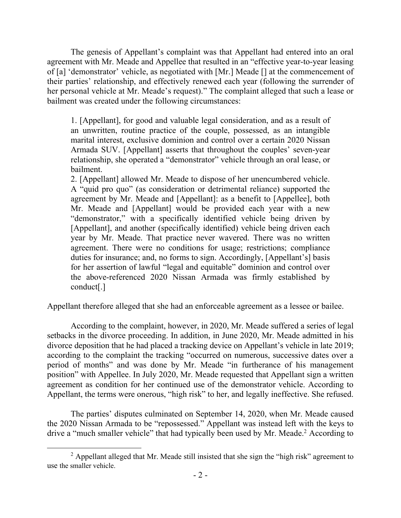The genesis of Appellant's complaint was that Appellant had entered into an oral agreement with Mr. Meade and Appellee that resulted in an "effective year-to-year leasing of [a] 'demonstrator' vehicle, as negotiated with [Mr.] Meade [] at the commencement of their parties' relationship, and effectively renewed each year (following the surrender of her personal vehicle at Mr. Meade's request)." The complaint alleged that such a lease or bailment was created under the following circumstances:

1. [Appellant], for good and valuable legal consideration, and as a result of an unwritten, routine practice of the couple, possessed, as an intangible marital interest, exclusive dominion and control over a certain 2020 Nissan Armada SUV. [Appellant] asserts that throughout the couples' seven-year relationship, she operated a "demonstrator" vehicle through an oral lease, or bailment.

2. [Appellant] allowed Mr. Meade to dispose of her unencumbered vehicle. A "quid pro quo" (as consideration or detrimental reliance) supported the agreement by Mr. Meade and [Appellant]: as a benefit to [Appellee], both Mr. Meade and [Appellant] would be provided each year with a new "demonstrator," with a specifically identified vehicle being driven by [Appellant], and another (specifically identified) vehicle being driven each year by Mr. Meade. That practice never wavered. There was no written agreement. There were no conditions for usage; restrictions; compliance duties for insurance; and, no forms to sign. Accordingly, [Appellant's] basis for her assertion of lawful "legal and equitable" dominion and control over the above-referenced 2020 Nissan Armada was firmly established by conduct[.]

Appellant therefore alleged that she had an enforceable agreement as a lessee or bailee.

According to the complaint, however, in 2020, Mr. Meade suffered a series of legal setbacks in the divorce proceeding. In addition, in June 2020, Mr. Meade admitted in his divorce deposition that he had placed a tracking device on Appellant's vehicle in late 2019; according to the complaint the tracking "occurred on numerous, successive dates over a period of months" and was done by Mr. Meade "in furtherance of his management position" with Appellee. In July 2020, Mr. Meade requested that Appellant sign a written agreement as condition for her continued use of the demonstrator vehicle. According to Appellant, the terms were onerous, "high risk" to her, and legally ineffective. She refused.

The parties' disputes culminated on September 14, 2020, when Mr. Meade caused the 2020 Nissan Armada to be "repossessed." Appellant was instead left with the keys to drive a "much smaller vehicle" that had typically been used by Mr. Meade.<sup>2</sup> According to

<sup>&</sup>lt;sup>2</sup> Appellant alleged that Mr. Meade still insisted that she sign the "high risk" agreement to use the smaller vehicle.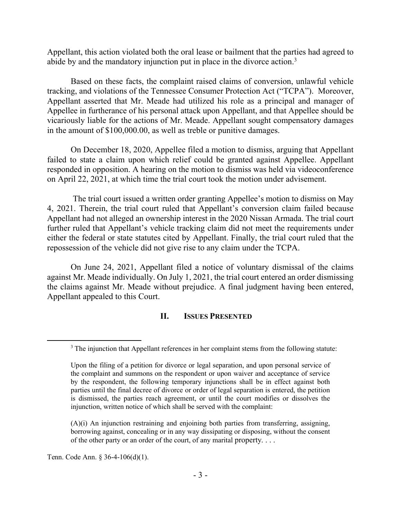Appellant, this action violated both the oral lease or bailment that the parties had agreed to abide by and the mandatory injunction put in place in the divorce action.<sup>3</sup>

Based on these facts, the complaint raised claims of conversion, unlawful vehicle tracking, and violations of the Tennessee Consumer Protection Act ("TCPA"). Moreover, Appellant asserted that Mr. Meade had utilized his role as a principal and manager of Appellee in furtherance of his personal attack upon Appellant, and that Appellee should be vicariously liable for the actions of Mr. Meade. Appellant sought compensatory damages in the amount of \$100,000.00, as well as treble or punitive damages.

On December 18, 2020, Appellee filed a motion to dismiss, arguing that Appellant failed to state a claim upon which relief could be granted against Appellee. Appellant responded in opposition. A hearing on the motion to dismiss was held via videoconference on April 22, 2021, at which time the trial court took the motion under advisement.

The trial court issued a written order granting Appellee's motion to dismiss on May 4, 2021. Therein, the trial court ruled that Appellant's conversion claim failed because Appellant had not alleged an ownership interest in the 2020 Nissan Armada. The trial court further ruled that Appellant's vehicle tracking claim did not meet the requirements under either the federal or state statutes cited by Appellant. Finally, the trial court ruled that the repossession of the vehicle did not give rise to any claim under the TCPA.

On June 24, 2021, Appellant filed a notice of voluntary dismissal of the claims against Mr. Meade individually. On July 1, 2021, the trial court entered an order dismissing the claims against Mr. Meade without prejudice. A final judgment having been entered, Appellant appealed to this Court.

#### **II. ISSUES PRESENTED**

(A)(i) An injunction restraining and enjoining both parties from transferring, assigning, borrowing against, concealing or in any way dissipating or disposing, without the consent of the other party or an order of the court, of any marital property. . . .

Tenn. Code Ann. § 36-4-106(d)(1).

<sup>&</sup>lt;sup>3</sup> The injunction that Appellant references in her complaint stems from the following statute:

Upon the filing of a petition for divorce or legal separation, and upon personal service of the complaint and summons on the respondent or upon waiver and acceptance of service by the respondent, the following temporary injunctions shall be in effect against both parties until the final decree of divorce or order of legal separation is entered, the petition is dismissed, the parties reach agreement, or until the court modifies or dissolves the injunction, written notice of which shall be served with the complaint: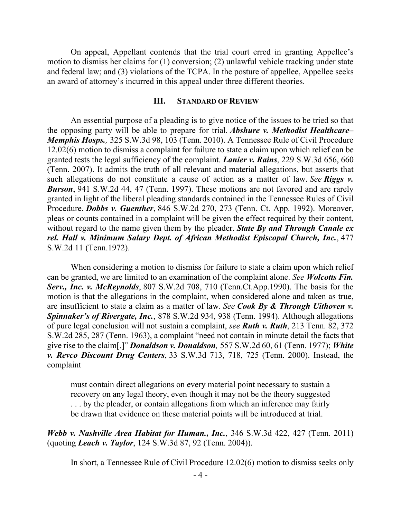On appeal, Appellant contends that the trial court erred in granting Appellee's motion to dismiss her claims for (1) conversion; (2) unlawful vehicle tracking under state and federal law; and (3) violations of the TCPA. In the posture of appellee, Appellee seeks an award of attorney's incurred in this appeal under three different theories.

#### **III. STANDARD OF REVIEW**

An essential purpose of a pleading is to give notice of the issues to be tried so that the opposing party will be able to prepare for trial. *Abshure v. Methodist Healthcare– Memphis Hosps.,* 325 S.W.3d 98, 103 (Tenn. 2010). A Tennessee Rule of Civil Procedure 12.02(6) motion to dismiss a complaint for failure to state a claim upon which relief can be granted tests the legal sufficiency of the complaint. *Lanier v. Rains*, 229 S.W.3d 656, 660 (Tenn. 2007). It admits the truth of all relevant and material allegations, but asserts that such allegations do not constitute a cause of action as a matter of law. *See Riggs v.* **Burson**, 941 S.W.2d 44, 47 (Tenn. 1997). These motions are not favored and are rarely granted in light of the liberal pleading standards contained in the Tennessee Rules of Civil Procedure. *Dobbs v. Guenther*, 846 S.W.2d 270, 273 (Tenn. Ct. App. 1992). Moreover, pleas or counts contained in a complaint will be given the effect required by their content, without regard to the name given them by the pleader. *State By and Through Canale ex rel. Hall v. Minimum Salary Dept. of African Methodist Episcopal Church, Inc.*, 477 S.W.2d 11 (Tenn.1972).

When considering a motion to dismiss for failure to state a claim upon which relief can be granted, we are limited to an examination of the complaint alone. *See Wolcotts Fin. Serv., Inc. v. McReynolds*, 807 S.W.2d 708, 710 (Tenn.Ct.App.1990). The basis for the motion is that the allegations in the complaint, when considered alone and taken as true, are insufficient to state a claim as a matter of law. *See Cook By & Through Uithoven v. Spinnaker's of Rivergate, Inc.*, 878 S.W.2d 934, 938 (Tenn. 1994). Although allegations of pure legal conclusion will not sustain a complaint, *see Ruth v. Ruth*, 213 Tenn. 82, 372 S.W.2d 285, 287 (Tenn. 1963), a complaint "need not contain in minute detail the facts that give rise to the claim[.]" *Donaldson v. Donaldson,* 557 S.W.2d 60, 61 (Tenn. 1977); *White v. Revco Discount Drug Centers*, 33 S.W.3d 713, 718, 725 (Tenn. 2000). Instead, the complaint

must contain direct allegations on every material point necessary to sustain a recovery on any legal theory, even though it may not be the theory suggested . . . by the pleader, or contain allegations from which an inference may fairly be drawn that evidence on these material points will be introduced at trial.

### *Webb v. Nashville Area Habitat for Human., Inc.*, 346 S.W.3d 422, 427 (Tenn. 2011) (quoting *Leach v. Taylor*, 124 S.W.3d 87, 92 (Tenn. 2004)).

In short, a Tennessee Rule of Civil Procedure 12.02(6) motion to dismiss seeks only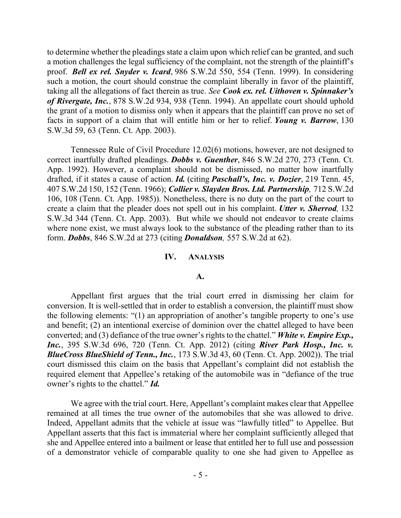to determine whether the pleadings state a claim upon which relief can be granted, and such a motion challenges the legal sufficiency of the complaint, not the strength of the plaintiff's proof. *Bell ex rel. Snyder v. Icard*, 986 S.W.2d 550, 554 (Tenn. 1999). In considering such a motion, the court should construe the complaint liberally in favor of the plaintiff, taking all the allegations of fact therein as true. *See Cook ex. rel. Uithoven v. Spinnaker's of Rivergate, Inc.*, 878 S.W.2d 934, 938 (Tenn. 1994). An appellate court should uphold the grant of a motion to dismiss only when it appears that the plaintiff can prove no set of facts in support of a claim that will entitle him or her to relief. *Young v. Barrow*, 130 S.W.3d 59, 63 (Tenn. Ct. App. 2003).

Tennessee Rule of Civil Procedure 12.02(6) motions, however, are not designed to correct inartfully drafted pleadings. *Dobbs v. Guenther*, 846 S.W.2d 270, 273 (Tenn. Ct. App. 1992). However, a complaint should not be dismissed, no matter how inartfully drafted, if it states a cause of action. *Id.* (citing *Paschall's, Inc. v. Dozier*, 219 Tenn. 45, 407 S.W.2d 150, 152 (Tenn. 1966); *Collier v. Slayden Bros. Ltd. Partnership,* 712 S.W.2d 106, 108 (Tenn. Ct. App. 1985)). Nonetheless, there is no duty on the part of the court to create a claim that the pleader does not spell out in his complaint. *Utter v. Sherrod,* 132 S.W.3d 344 (Tenn. Ct. App. 2003). But while we should not endeavor to create claims where none exist, we must always look to the substance of the pleading rather than to its form. *Dobbs*, 846 S.W.2d at 273 (citing *Donaldson,* 557 S.W.2d at 62).

#### **IV. ANALYSIS**

#### **A.**

Appellant first argues that the trial court erred in dismissing her claim for conversion. It is well-settled that in order to establish a conversion, the plaintiff must show the following elements: "(1) an appropriation of another's tangible property to one's use and benefit; (2) an intentional exercise of dominion over the chattel alleged to have been converted; and (3) defiance of the true owner's rights to the chattel." *White v. Empire Exp., Inc.*, 395 S.W.3d 696, 720 (Tenn. Ct. App. 2012) (citing *River Park Hosp., Inc. v. BlueCross BlueShield of Tenn., Inc.*, 173 S.W.3d 43, 60 (Tenn. Ct. App. 2002)). The trial court dismissed this claim on the basis that Appellant's complaint did not establish the required element that Appellee's retaking of the automobile was in "defiance of the true owner's rights to the chattel." *Id.*

We agree with the trial court. Here, Appellant's complaint makes clear that Appellee remained at all times the true owner of the automobiles that she was allowed to drive. Indeed, Appellant admits that the vehicle at issue was "lawfully titled" to Appellee. But Appellant asserts that this fact is immaterial where her complaint sufficiently alleged that she and Appellee entered into a bailment or lease that entitled her to full use and possession of a demonstrator vehicle of comparable quality to one she had given to Appellee as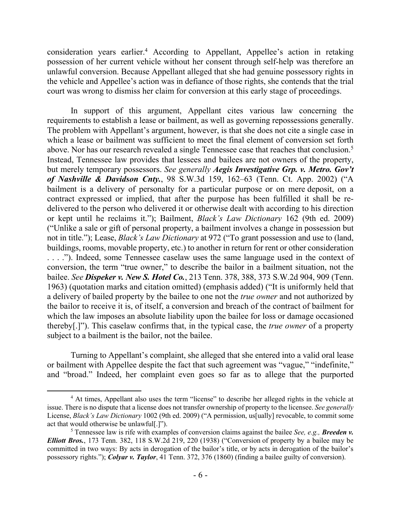consideration years earlier.<sup>4</sup> According to Appellant, Appellee's action in retaking possession of her current vehicle without her consent through self-help was therefore an unlawful conversion. Because Appellant alleged that she had genuine possessory rights in the vehicle and Appellee's action was in defiance of those rights, she contends that the trial court was wrong to dismiss her claim for conversion at this early stage of proceedings.

In support of this argument, Appellant cites various law concerning the requirements to establish a lease or bailment, as well as governing repossessions generally. The problem with Appellant's argument, however, is that she does not cite a single case in which a lease or bailment was sufficient to meet the final element of conversion set forth above. Nor has our research revealed a single Tennessee case that reaches that conclusion.<sup>5</sup> Instead, Tennessee law provides that lessees and bailees are not owners of the property, but merely temporary possessors. *See generally Aegis Investigative Grp. v. Metro. Gov't of Nashville & Davidson Cnty.*, 98 S.W.3d 159, 162–63 (Tenn. Ct. App. 2002) ("A bailment is a delivery of personalty for a particular purpose or on mere deposit, on a contract expressed or implied, that after the purpose has been fulfilled it shall be redelivered to the person who delivered it or otherwise dealt with according to his direction or kept until he reclaims it."); Bailment, *Black's Law Dictionary* 162 (9th ed. 2009) ("Unlike a sale or gift of personal property, a bailment involves a change in possession but not in title."); Lease, *Black's Law Dictionary* at 972 ("To grant possession and use to (land, buildings, rooms, movable property, etc.) to another in return for rent or other consideration . . . ."). Indeed, some Tennessee caselaw uses the same language used in the context of conversion, the term "true owner," to describe the bailor in a bailment situation, not the bailee. *See Dispeker v. New S. Hotel Co.*, 213 Tenn. 378, 388, 373 S.W.2d 904, 909 (Tenn. 1963) (quotation marks and citation omitted) (emphasis added) ("It is uniformly held that

a delivery of bailed property by the bailee to one not the *true owner* and not authorized by the bailor to receive it is, of itself, a conversion and breach of the contract of bailment for which the law imposes an absolute liability upon the bailee for loss or damage occasioned thereby[.]"). This caselaw confirms that, in the typical case, the *true owner* of a property subject to a bailment is the bailor, not the bailee.

Turning to Appellant's complaint, she alleged that she entered into a valid oral lease or bailment with Appellee despite the fact that such agreement was "vague," "indefinite," and "broad." Indeed, her complaint even goes so far as to allege that the purported

<sup>&</sup>lt;sup>4</sup> At times, Appellant also uses the term "license" to describe her alleged rights in the vehicle at issue. There is no dispute that a license does not transfer ownership of property to the licensee. *See generally*  License, *Black's Law Dictionary* 1002 (9th ed. 2009) ("A permission, us[ually] revocable, to commit some act that would otherwise be unlawful[.]").

<sup>5</sup> Tennessee law is rife with examples of conversion claims against the bailee *See, e.g., Breeden v. Elliott Bros.*, 173 Tenn. 382, 118 S.W.2d 219, 220 (1938) ("Conversion of property by a bailee may be committed in two ways: By acts in derogation of the bailor's title, or by acts in derogation of the bailor's possessory rights."); *Colyar v. Taylor*, 41 Tenn. 372, 376 (1860) (finding a bailee guilty of conversion).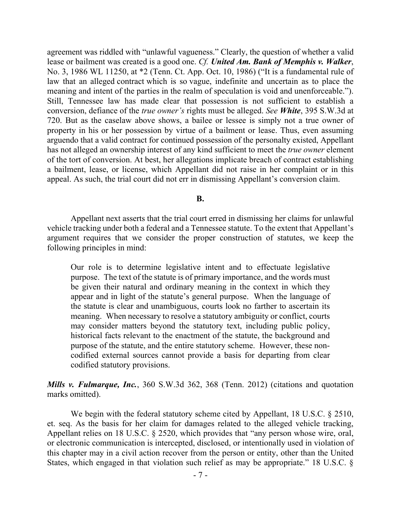agreement was riddled with "unlawful vagueness." Clearly, the question of whether a valid lease or bailment was created is a good one. *Cf. United Am. Bank of Memphis v. Walker*, No. 3, 1986 WL 11250, at \*2 (Tenn. Ct. App. Oct. 10, 1986) ("It is a fundamental rule of law that an alleged contract which is so vague, indefinite and uncertain as to place the meaning and intent of the parties in the realm of speculation is void and unenforceable."). Still, Tennessee law has made clear that possession is not sufficient to establish a conversion, defiance of the *true owner's* rights must be alleged. *See White*, 395 S.W.3d at 720. But as the caselaw above shows, a bailee or lessee is simply not a true owner of property in his or her possession by virtue of a bailment or lease. Thus, even assuming arguendo that a valid contract for continued possession of the personalty existed, Appellant has not alleged an ownership interest of any kind sufficient to meet the *true owner* element of the tort of conversion. At best, her allegations implicate breach of contract establishing a bailment, lease, or license, which Appellant did not raise in her complaint or in this appeal. As such, the trial court did not err in dismissing Appellant's conversion claim.

**B.**

Appellant next asserts that the trial court erred in dismissing her claims for unlawful vehicle tracking under both a federal and a Tennessee statute. To the extent that Appellant's argument requires that we consider the proper construction of statutes, we keep the following principles in mind:

Our role is to determine legislative intent and to effectuate legislative purpose. The text of the statute is of primary importance, and the words must be given their natural and ordinary meaning in the context in which they appear and in light of the statute's general purpose. When the language of the statute is clear and unambiguous, courts look no farther to ascertain its meaning. When necessary to resolve a statutory ambiguity or conflict, courts may consider matters beyond the statutory text, including public policy, historical facts relevant to the enactment of the statute, the background and purpose of the statute, and the entire statutory scheme. However, these noncodified external sources cannot provide a basis for departing from clear codified statutory provisions.

*Mills v. Fulmarque, Inc.*, 360 S.W.3d 362, 368 (Tenn. 2012) (citations and quotation marks omitted).

We begin with the federal statutory scheme cited by Appellant, 18 U.S.C. § 2510, et. seq. As the basis for her claim for damages related to the alleged vehicle tracking, Appellant relies on 18 U.S.C. § 2520, which provides that "any person whose wire, oral, or electronic communication is intercepted, disclosed, or intentionally used in violation of this chapter may in a civil action recover from the person or entity, other than the United States, which engaged in that violation such relief as may be appropriate." 18 U.S.C. §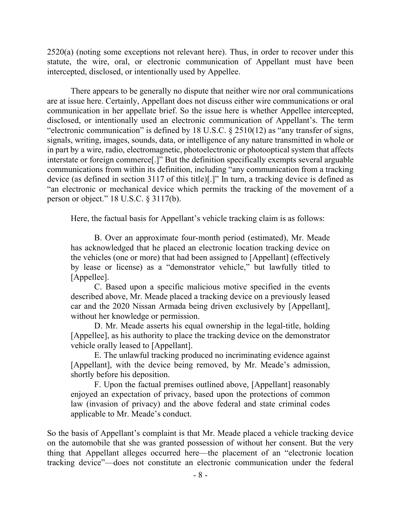2520(a) (noting some exceptions not relevant here). Thus, in order to recover under this statute, the wire, oral, or electronic communication of Appellant must have been intercepted, disclosed, or intentionally used by Appellee.

There appears to be generally no dispute that neither wire nor oral communications are at issue here. Certainly, Appellant does not discuss either wire communications or oral communication in her appellate brief. So the issue here is whether Appellee intercepted, disclosed, or intentionally used an electronic communication of Appellant's. The term "electronic communication" is defined by 18 U.S.C.  $\S$  2510(12) as "any transfer of signs, signals, writing, images, sounds, data, or intelligence of any nature transmitted in whole or in part by a wire, radio, electromagnetic, photoelectronic or photooptical system that affects interstate or foreign commerce[.]" But the definition specifically exempts several arguable communications from within its definition, including "any communication from a tracking device (as defined in section 3117 of this title)[.]" In turn, a tracking device is defined as "an electronic or mechanical device which permits the tracking of the movement of a person or object." 18 U.S.C. § 3117(b).

Here, the factual basis for Appellant's vehicle tracking claim is as follows:

B. Over an approximate four-month period (estimated), Mr. Meade has acknowledged that he placed an electronic location tracking device on the vehicles (one or more) that had been assigned to [Appellant] (effectively by lease or license) as a "demonstrator vehicle," but lawfully titled to [Appellee].

C. Based upon a specific malicious motive specified in the events described above, Mr. Meade placed a tracking device on a previously leased car and the 2020 Nissan Armada being driven exclusively by [Appellant], without her knowledge or permission.

D. Mr. Meade asserts his equal ownership in the legal-title, holding [Appellee], as his authority to place the tracking device on the demonstrator vehicle orally leased to [Appellant].

E. The unlawful tracking produced no incriminating evidence against [Appellant], with the device being removed, by Mr. Meade's admission, shortly before his deposition.

F. Upon the factual premises outlined above, [Appellant] reasonably enjoyed an expectation of privacy, based upon the protections of common law (invasion of privacy) and the above federal and state criminal codes applicable to Mr. Meade's conduct.

So the basis of Appellant's complaint is that Mr. Meade placed a vehicle tracking device on the automobile that she was granted possession of without her consent. But the very thing that Appellant alleges occurred here—the placement of an "electronic location tracking device"—does not constitute an electronic communication under the federal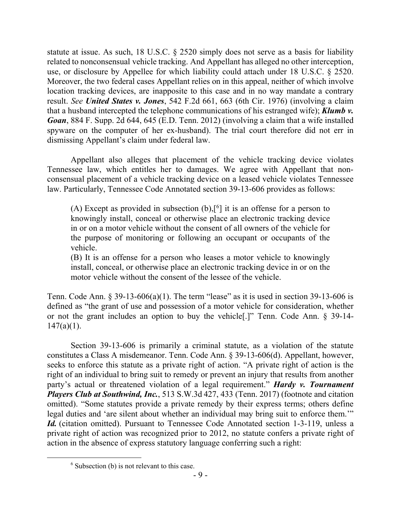statute at issue. As such, 18 U.S.C. § 2520 simply does not serve as a basis for liability related to nonconsensual vehicle tracking. And Appellant has alleged no other interception, use, or disclosure by Appellee for which liability could attach under 18 U.S.C. § 2520. Moreover, the two federal cases Appellant relies on in this appeal, neither of which involve location tracking devices, are inapposite to this case and in no way mandate a contrary result. *See United States v. Jones*, 542 F.2d 661, 663 (6th Cir. 1976) (involving a claim that a husband intercepted the telephone communications of his estranged wife); *Klumb v. Goan*, 884 F. Supp. 2d 644, 645 (E.D. Tenn. 2012) (involving a claim that a wife installed spyware on the computer of her ex-husband). The trial court therefore did not err in dismissing Appellant's claim under federal law.

Appellant also alleges that placement of the vehicle tracking device violates Tennessee law, which entitles her to damages. We agree with Appellant that nonconsensual placement of a vehicle tracking device on a leased vehicle violates Tennessee law. Particularly, Tennessee Code Annotated section 39-13-606 provides as follows:

(A) Except as provided in subsection  $(b)$ ,  $[6]$  it is an offense for a person to knowingly install, conceal or otherwise place an electronic tracking device in or on a motor vehicle without the consent of all owners of the vehicle for the purpose of monitoring or following an occupant or occupants of the vehicle.

(B) It is an offense for a person who leases a motor vehicle to knowingly install, conceal, or otherwise place an electronic tracking device in or on the motor vehicle without the consent of the lessee of the vehicle.

Tenn. Code Ann. § 39-13-606(a)(1). The term "lease" as it is used in section 39-13-606 is defined as "the grant of use and possession of a motor vehicle for consideration, whether or not the grant includes an option to buy the vehicle[.]" Tenn. Code Ann. § 39-14-  $147(a)(1)$ .

Section 39-13-606 is primarily a criminal statute, as a violation of the statute constitutes a Class A misdemeanor. Tenn. Code Ann. § 39-13-606(d). Appellant, however, seeks to enforce this statute as a private right of action. "A private right of action is the right of an individual to bring suit to remedy or prevent an injury that results from another party's actual or threatened violation of a legal requirement." *Hardy v. Tournament Players Club at Southwind, Inc.*, 513 S.W.3d 427, 433 (Tenn. 2017) (footnote and citation omitted). "Some statutes provide a private remedy by their express terms; others define legal duties and 'are silent about whether an individual may bring suit to enforce them.'" *Id.* (citation omitted). Pursuant to Tennessee Code Annotated section 1-3-119, unless a private right of action was recognized prior to 2012, no statute confers a private right of action in the absence of express statutory language conferring such a right:

 $6$  Subsection (b) is not relevant to this case.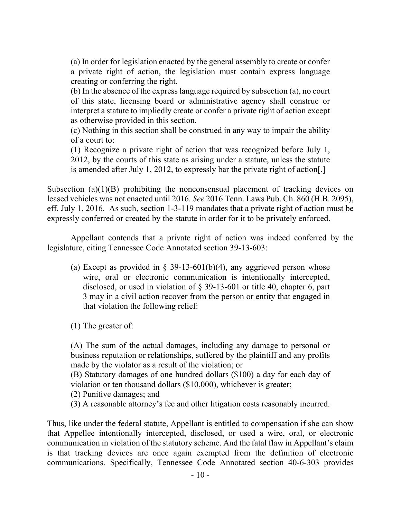(a) In order for legislation enacted by the general assembly to create or confer a private right of action, the legislation must contain express language creating or conferring the right.

(b) In the absence of the express language required by subsection (a), no court of this state, licensing board or administrative agency shall construe or interpret a statute to impliedly create or confer a private right of action except as otherwise provided in this section.

(c) Nothing in this section shall be construed in any way to impair the ability of a court to:

(1) Recognize a private right of action that was recognized before July 1, 2012, by the courts of this state as arising under a statute, unless the statute is amended after July 1, 2012, to expressly bar the private right of action[.]

Subsection  $(a)(1)(B)$  prohibiting the nonconsensual placement of tracking devices on leased vehicles was not enacted until 2016. *See* 2016 Tenn. Laws Pub. Ch. 860 (H.B. 2095), eff. July 1, 2016. As such, section 1-3-119 mandates that a private right of action must be expressly conferred or created by the statute in order for it to be privately enforced.

Appellant contends that a private right of action was indeed conferred by the legislature, citing Tennessee Code Annotated section 39-13-603:

- (a) Except as provided in  $\S$  39-13-601(b)(4), any aggrieved person whose wire, oral or electronic communication is intentionally intercepted, disclosed, or used in violation of § 39-13-601 or title 40, chapter 6, part 3 may in a civil action recover from the person or entity that engaged in that violation the following relief:
- (1) The greater of:

(A) The sum of the actual damages, including any damage to personal or business reputation or relationships, suffered by the plaintiff and any profits made by the violator as a result of the violation; or

(B) Statutory damages of one hundred dollars (\$100) a day for each day of violation or ten thousand dollars (\$10,000), whichever is greater;

(2) Punitive damages; and

(3) A reasonable attorney's fee and other litigation costs reasonably incurred.

Thus, like under the federal statute, Appellant is entitled to compensation if she can show that Appellee intentionally intercepted, disclosed, or used a wire, oral, or electronic communication in violation of the statutory scheme. And the fatal flaw in Appellant's claim is that tracking devices are once again exempted from the definition of electronic communications. Specifically, Tennessee Code Annotated section 40-6-303 provides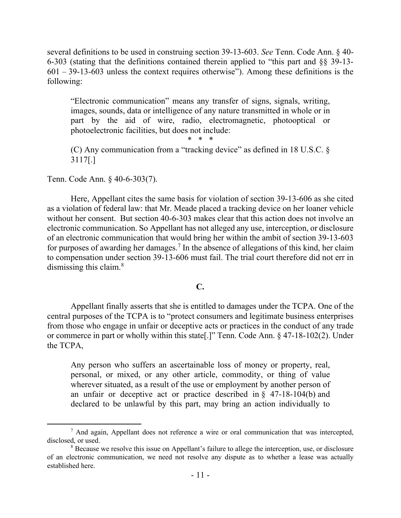several definitions to be used in construing section 39-13-603. *See* Tenn. Code Ann. § 40- 6-303 (stating that the definitions contained therein applied to "this part and §§ 39-13-  $601 - 39 - 13 - 603$  unless the context requires otherwise"). Among these definitions is the following:

"Electronic communication" means any transfer of signs, signals, writing, images, sounds, data or intelligence of any nature transmitted in whole or in part by the aid of wire, radio, electromagnetic, photooptical or photoelectronic facilities, but does not include:

\* \* \*

(C) Any communication from a "tracking device" as defined in 18 U.S.C. § 3117[.]

Tenn. Code Ann. § 40-6-303(7).

 $\overline{a}$ 

Here, Appellant cites the same basis for violation of section 39-13-606 as she cited as a violation of federal law: that Mr. Meade placed a tracking device on her loaner vehicle without her consent. But section 40-6-303 makes clear that this action does not involve an electronic communication. So Appellant has not alleged any use, interception, or disclosure of an electronic communication that would bring her within the ambit of section 39-13-603 for purposes of awarding her damages.<sup>7</sup> In the absence of allegations of this kind, her claim to compensation under section 39-13-606 must fail. The trial court therefore did not err in dismissing this claim.<sup>8</sup>

**C.**

Appellant finally asserts that she is entitled to damages under the TCPA. One of the central purposes of the TCPA is to "protect consumers and legitimate business enterprises from those who engage in unfair or deceptive acts or practices in the conduct of any trade or commerce in part or wholly within this state[.]" Tenn. Code Ann. § 47-18-102(2). Under the TCPA,

Any person who suffers an ascertainable loss of money or property, real, personal, or mixed, or any other article, commodity, or thing of value wherever situated, as a result of the use or employment by another person of an unfair or deceptive act or practice described in  $\S$  47-18-104(b) and declared to be unlawful by this part, may bring an action individually to

 $<sup>7</sup>$  And again, Appellant does not reference a wire or oral communication that was intercepted,</sup> disclosed, or used.

<sup>8</sup> Because we resolve this issue on Appellant's failure to allege the interception, use, or disclosure of an electronic communication, we need not resolve any dispute as to whether a lease was actually established here.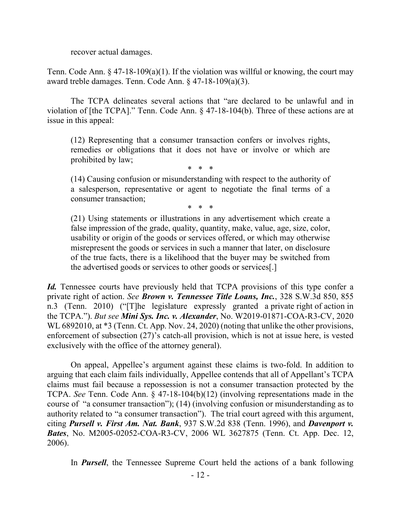recover actual damages.

Tenn. Code Ann.  $\S$  47-18-109(a)(1). If the violation was willful or knowing, the court may award treble damages. Tenn. Code Ann. § 47-18-109(a)(3).

The TCPA delineates several actions that "are declared to be unlawful and in violation of [the TCPA]." Tenn. Code Ann. § 47-18-104(b). Three of these actions are at issue in this appeal:

(12) Representing that a consumer transaction confers or involves rights, remedies or obligations that it does not have or involve or which are prohibited by law;

\* \* \*

(14) Causing confusion or misunderstanding with respect to the authority of a salesperson, representative or agent to negotiate the final terms of a consumer transaction;

\* \* \*

(21) Using statements or illustrations in any advertisement which create a false impression of the grade, quality, quantity, make, value, age, size, color, usability or origin of the goods or services offered, or which may otherwise misrepresent the goods or services in such a manner that later, on disclosure of the true facts, there is a likelihood that the buyer may be switched from the advertised goods or services to other goods or services[.]

*Id.* Tennessee courts have previously held that TCPA provisions of this type confer a private right of action. *See Brown v. Tennessee Title Loans, Inc.*, 328 S.W.3d 850, 855 n.3 (Tenn. 2010) ("[T]he legislature expressly granted a private right of action in the TCPA."). *But see Mini Sys. Inc. v. Alexander*, No. W2019-01871-COA-R3-CV, 2020 WL 6892010, at  $*3$  (Tenn. Ct. App. Nov. 24, 2020) (noting that unlike the other provisions, enforcement of subsection (27)'s catch-all provision, which is not at issue here, is vested exclusively with the office of the attorney general).

On appeal, Appellee's argument against these claims is two-fold. In addition to arguing that each claim fails individually, Appellee contends that all of Appellant's TCPA claims must fail because a repossession is not a consumer transaction protected by the TCPA. *See* Tenn. Code Ann. § 47-18-104(b)(12) (involving representations made in the course of "a consumer transaction"); (14) (involving confusion or misunderstanding as to authority related to "a consumer transaction"). The trial court agreed with this argument, citing *Pursell v. First Am. Nat. Bank*, 937 S.W.2d 838 (Tenn. 1996), and *Davenport v. Bates*, No. M2005-02052-COA-R3-CV, 2006 WL 3627875 (Tenn. Ct. App. Dec. 12, 2006).

In *Pursell*, the Tennessee Supreme Court held the actions of a bank following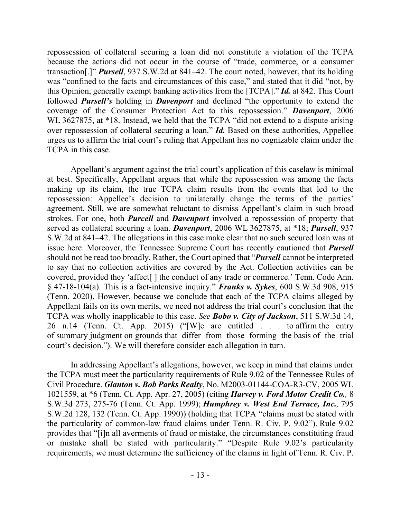repossession of collateral securing a loan did not constitute a violation of the TCPA because the actions did not occur in the course of "trade, commerce, or a consumer transaction[.]" *Pursell*, 937 S.W.2d at 841–42. The court noted, however, that its holding was "confined to the facts and circumstances of this case," and stated that it did "not, by this Opinion, generally exempt banking activities from the [TCPA]." *Id.* at 842. This Court followed *Pursell's* holding in *Davenport* and declined "the opportunity to extend the coverage of the Consumer Protection Act to this repossession." *Davenport*, 2006 WL 3627875, at \*18. Instead, we held that the TCPA "did not extend to a dispute arising over repossession of collateral securing a loan." *Id*. Based on these authorities, Appellee urges us to affirm the trial court's ruling that Appellant has no cognizable claim under the TCPA in this case.

Appellant's argument against the trial court's application of this caselaw is minimal at best. Specifically, Appellant argues that while the repossession was among the facts making up its claim, the true TCPA claim results from the events that led to the repossession: Appellee's decision to unilaterally change the terms of the parties' agreement. Still, we are somewhat reluctant to dismiss Appellant's claim in such broad strokes. For one, both *Purcell* and *Davenport* involved a repossession of property that served as collateral securing a loan. *Davenport*, 2006 WL 3627875, at \*18; *Pursell*, 937 S.W.2d at 841–42. The allegations in this case make clear that no such secured loan was at issue here. Moreover, the Tennessee Supreme Court has recently cautioned that *Pursell* should not be read too broadly. Rather, the Court opined that "*Pursell* cannot be interpreted to say that no collection activities are covered by the Act. Collection activities can be covered, provided they 'affect[ ] the conduct of any trade or commerce.' Tenn. Code Ann. § 47-18-104(a). This is a fact-intensive inquiry." *Franks v. Sykes*, 600 S.W.3d 908, 915 (Tenn. 2020). However, because we conclude that each of the TCPA claims alleged by Appellant fails on its own merits, we need not address the trial court's conclusion that the TCPA was wholly inapplicable to this case. *See Bobo v. City of Jackson*, 511 S.W.3d 14, 26 n.14 (Tenn. Ct. App. 2015) ("[W]e are entitled . . . to affirm the entry of summary judgment on grounds that differ from those forming the basis of the trial court's decision."). We will therefore consider each allegation in turn.

In addressing Appellant's allegations, however, we keep in mind that claims under the TCPA must meet the particularity requirements of Rule 9.02 of the Tennessee Rules of Civil Procedure. *Glanton v. Bob Parks Realty*, No. M2003-01144-COA-R3-CV, 2005 WL 1021559, at \*6 (Tenn. Ct. App. Apr. 27, 2005) (citing *Harvey v. Ford Motor Credit Co.,* 8 S.W.3d 273, 275-76 (Tenn. Ct. App. 1999); *Humphrey v. West End Terrace, Inc.,* 795 S.W.2d 128, 132 (Tenn. Ct. App. 1990)) (holding that TCPA "claims must be stated with the particularity of common-law fraud claims under Tenn. R. Civ. P. 9.02"). Rule 9.02 provides that "[i]n all averments of fraud or mistake, the circumstances constituting fraud or mistake shall be stated with particularity." "Despite Rule 9.02's particularity requirements, we must determine the sufficiency of the claims in light of Tenn. R. Civ. P.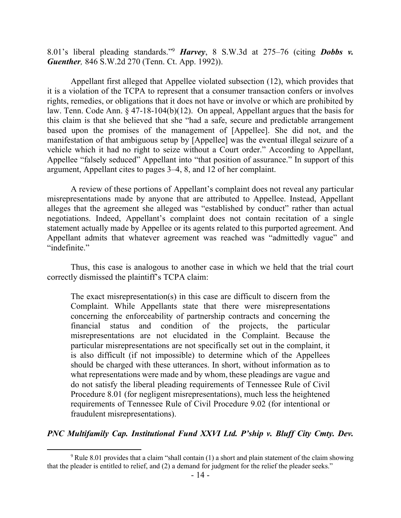8.01's liberal pleading standards."<sup>9</sup> *Harvey*, 8 S.W.3d at 275–76 (citing *Dobbs v. Guenther,* 846 S.W.2d 270 (Tenn. Ct. App. 1992)).

Appellant first alleged that Appellee violated subsection (12), which provides that it is a violation of the TCPA to represent that a consumer transaction confers or involves rights, remedies, or obligations that it does not have or involve or which are prohibited by law. Tenn. Code Ann. § 47-18-104(b)(12). On appeal, Appellant argues that the basis for this claim is that she believed that she "had a safe, secure and predictable arrangement based upon the promises of the management of [Appellee]. She did not, and the manifestation of that ambiguous setup by [Appellee] was the eventual illegal seizure of a vehicle which it had no right to seize without a Court order." According to Appellant, Appellee "falsely seduced" Appellant into "that position of assurance." In support of this argument, Appellant cites to pages 3–4, 8, and 12 of her complaint.

A review of these portions of Appellant's complaint does not reveal any particular misrepresentations made by anyone that are attributed to Appellee. Instead, Appellant alleges that the agreement she alleged was "established by conduct" rather than actual negotiations. Indeed, Appellant's complaint does not contain recitation of a single statement actually made by Appellee or its agents related to this purported agreement. And Appellant admits that whatever agreement was reached was "admittedly vague" and "indefinite."

Thus, this case is analogous to another case in which we held that the trial court correctly dismissed the plaintiff's TCPA claim:

The exact misrepresentation(s) in this case are difficult to discern from the Complaint. While Appellants state that there were misrepresentations concerning the enforceability of partnership contracts and concerning the financial status and condition of the projects, the particular misrepresentations are not elucidated in the Complaint. Because the particular misrepresentations are not specifically set out in the complaint, it is also difficult (if not impossible) to determine which of the Appellees should be charged with these utterances. In short, without information as to what representations were made and by whom, these pleadings are vague and do not satisfy the liberal pleading requirements of Tennessee Rule of Civil Procedure 8.01 (for negligent misrepresentations), much less the heightened requirements of Tennessee Rule of Civil Procedure 9.02 (for intentional or fraudulent misrepresentations).

#### *PNC Multifamily Cap. Institutional Fund XXVI Ltd. P'ship v. Bluff City Cmty. Dev.*

 $9$  Rule 8.01 provides that a claim "shall contain (1) a short and plain statement of the claim showing that the pleader is entitled to relief, and (2) a demand for judgment for the relief the pleader seeks."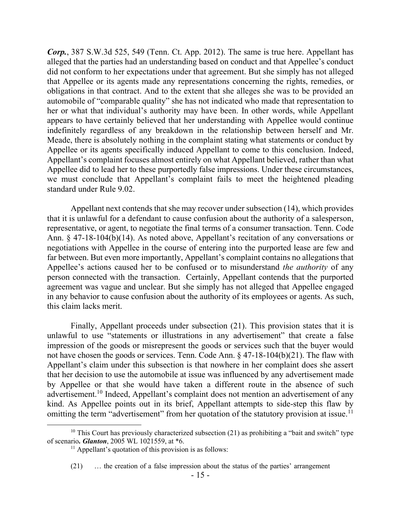*Corp.*, 387 S.W.3d 525, 549 (Tenn. Ct. App. 2012). The same is true here. Appellant has alleged that the parties had an understanding based on conduct and that Appellee's conduct did not conform to her expectations under that agreement. But she simply has not alleged that Appellee or its agents made any representations concerning the rights, remedies, or obligations in that contract. And to the extent that she alleges she was to be provided an automobile of "comparable quality" she has not indicated who made that representation to her or what that individual's authority may have been. In other words, while Appellant appears to have certainly believed that her understanding with Appellee would continue indefinitely regardless of any breakdown in the relationship between herself and Mr. Meade, there is absolutely nothing in the complaint stating what statements or conduct by Appellee or its agents specifically induced Appellant to come to this conclusion. Indeed, Appellant's complaint focuses almost entirely on what Appellant believed, rather than what Appellee did to lead her to these purportedly false impressions. Under these circumstances, we must conclude that Appellant's complaint fails to meet the heightened pleading standard under Rule 9.02.

Appellant next contends that she may recover under subsection (14), which provides that it is unlawful for a defendant to cause confusion about the authority of a salesperson, representative, or agent, to negotiate the final terms of a consumer transaction. Tenn. Code Ann. § 47-18-104(b)(14). As noted above, Appellant's recitation of any conversations or negotiations with Appellee in the course of entering into the purported lease are few and far between. But even more importantly, Appellant's complaint contains no allegations that Appellee's actions caused her to be confused or to misunderstand *the authority* of any person connected with the transaction. Certainly, Appellant contends that the purported agreement was vague and unclear. But she simply has not alleged that Appellee engaged in any behavior to cause confusion about the authority of its employees or agents. As such, this claim lacks merit.

Finally, Appellant proceeds under subsection (21). This provision states that it is unlawful to use "statements or illustrations in any advertisement" that create a false impression of the goods or misrepresent the goods or services such that the buyer would not have chosen the goods or services. Tenn. Code Ann. § 47-18-104(b)(21). The flaw with Appellant's claim under this subsection is that nowhere in her complaint does she assert that her decision to use the automobile at issue was influenced by any advertisement made by Appellee or that she would have taken a different route in the absence of such advertisement.<sup>10</sup> Indeed, Appellant's complaint does not mention an advertisement of any kind. As Appellee points out in its brief, Appellant attempts to side-step this flaw by omitting the term "advertisement" from her quotation of the statutory provision at issue.<sup>11</sup>

 $10$  This Court has previously characterized subsection (21) as prohibiting a "bait and switch" type of scenario**.** *Glanton*, 2005 WL 1021559, at \*6.

 $11$  Appellant's quotation of this provision is as follows:

<sup>(21) …</sup> the creation of a false impression about the status of the parties' arrangement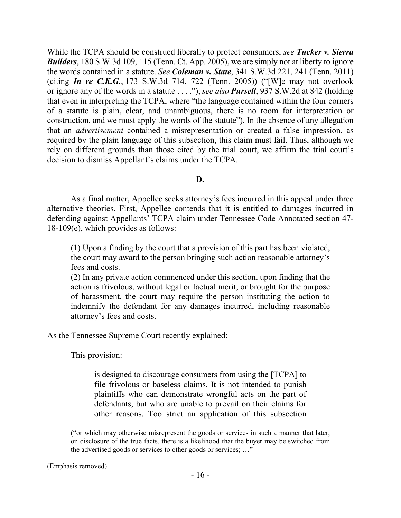While the TCPA should be construed liberally to protect consumers, *see Tucker v. Sierra Builders*, 180 S.W.3d 109, 115 (Tenn. Ct. App. 2005), we are simply not at liberty to ignore the words contained in a statute. *See Coleman v. State*, 341 S.W.3d 221, 241 (Tenn. 2011) (citing *In re C.K.G.*, 173 S.W.3d 714, 722 (Tenn. 2005)) ("[W]e may not overlook or ignore any of the words in a statute . . . ."); *see also Pursell*, 937 S.W.2d at 842 (holding that even in interpreting the TCPA, where "the language contained within the four corners of a statute is plain, clear, and unambiguous, there is no room for interpretation or construction, and we must apply the words of the statute"). In the absence of any allegation that an *advertisement* contained a misrepresentation or created a false impression, as required by the plain language of this subsection, this claim must fail. Thus, although we rely on different grounds than those cited by the trial court, we affirm the trial court's decision to dismiss Appellant's claims under the TCPA.

# **D.**

As a final matter, Appellee seeks attorney's fees incurred in this appeal under three alternative theories. First, Appellee contends that it is entitled to damages incurred in defending against Appellants' TCPA claim under Tennessee Code Annotated section 47- 18-109(e), which provides as follows:

(1) Upon a finding by the court that a provision of this part has been violated, the court may award to the person bringing such action reasonable attorney's fees and costs.

(2) In any private action commenced under this section, upon finding that the action is frivolous, without legal or factual merit, or brought for the purpose of harassment, the court may require the person instituting the action to indemnify the defendant for any damages incurred, including reasonable attorney's fees and costs.

As the Tennessee Supreme Court recently explained:

This provision:

is designed to discourage consumers from using the [TCPA] to file frivolous or baseless claims. It is not intended to punish plaintiffs who can demonstrate wrongful acts on the part of defendants, but who are unable to prevail on their claims for other reasons. Too strict an application of this subsection

<sup>(&</sup>quot;or which may otherwise misrepresent the goods or services in such a manner that later, on disclosure of the true facts, there is a likelihood that the buyer may be switched from the advertised goods or services to other goods or services; …"

<sup>(</sup>Emphasis removed).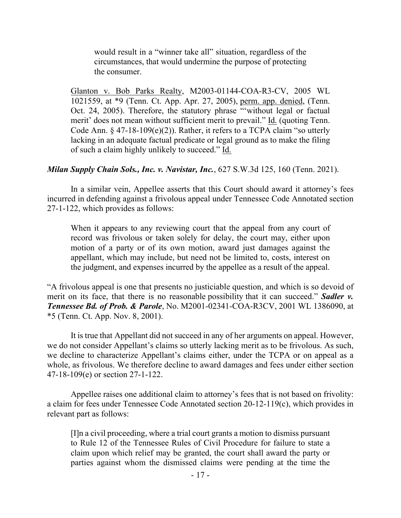would result in a "winner take all" situation, regardless of the circumstances, that would undermine the purpose of protecting the consumer.

Glanton v. Bob Parks Realty, M2003-01144-COA-R3-CV, 2005 WL 1021559, at \*9 (Tenn. Ct. App. Apr. 27, 2005), perm. app. denied, (Tenn. Oct. 24, 2005). Therefore, the statutory phrase "'without legal or factual merit' does not mean without sufficient merit to prevail." Id. (quoting Tenn. Code Ann.  $\S$  47-18-109(e)(2)). Rather, it refers to a TCPA claim "so utterly lacking in an adequate factual predicate or legal ground as to make the filing of such a claim highly unlikely to succeed." Id.

*Milan Supply Chain Sols., Inc. v. Navistar, Inc.*, 627 S.W.3d 125, 160 (Tenn. 2021).

In a similar vein, Appellee asserts that this Court should award it attorney's fees incurred in defending against a frivolous appeal under Tennessee Code Annotated section 27-1-122, which provides as follows:

When it appears to any reviewing court that the appeal from any court of record was frivolous or taken solely for delay, the court may, either upon motion of a party or of its own motion, award just damages against the appellant, which may include, but need not be limited to, costs, interest on the judgment, and expenses incurred by the appellee as a result of the appeal.

"A frivolous appeal is one that presents no justiciable question, and which is so devoid of merit on its face, that there is no reasonable possibility that it can succeed." *Sadler v. Tennessee Bd. of Prob. & Parole*, No. M2001-02341-COA-R3CV, 2001 WL 1386090, at \*5 (Tenn. Ct. App. Nov. 8, 2001).

It is true that Appellant did not succeed in any of her arguments on appeal. However, we do not consider Appellant's claims so utterly lacking merit as to be frivolous. As such, we decline to characterize Appellant's claims either, under the TCPA or on appeal as a whole, as frivolous. We therefore decline to award damages and fees under either section 47-18-109(e) or section 27-1-122.

Appellee raises one additional claim to attorney's fees that is not based on frivolity: a claim for fees under Tennessee Code Annotated section 20-12-119(c), which provides in relevant part as follows:

[I]n a civil proceeding, where a trial court grants a motion to dismiss pursuant to Rule 12 of the Tennessee Rules of Civil Procedure for failure to state a claim upon which relief may be granted, the court shall award the party or parties against whom the dismissed claims were pending at the time the